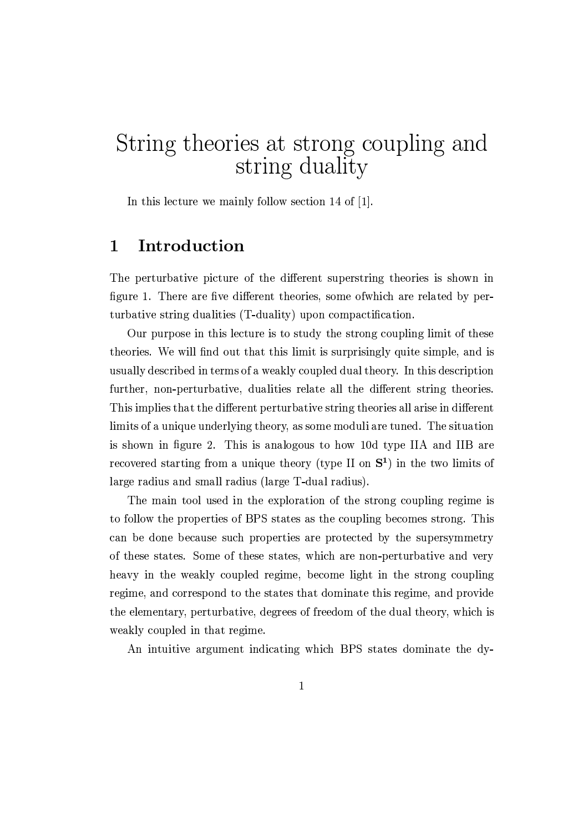# String theories at strong coupling and string duality

In this lecture we mainly follow section 14 of [1].

### Introduction  $\mathbf{1}$

The perturbative picture of the different superstring theories is shown in figure 1. There are five different theories, some of which are related by perturbative string dualities (T-duality) upon compactification.

Our purpose in this lecture is to study the strong coupling limit of these theories. We will find out that this limit is surprisingly quite simple, and is usually described in terms of a weakly coupled dual theory. In this description further, non-perturbative, dualities relate all the different string theories. This implies that the different perturbative string theories all arise in different limits of a unique underlying theory, as some moduli are tuned. The situation is shown in figure 2. This is analogous to how 10d type IIA and IIB are recovered starting from a unique theory (type II on  $S<sup>1</sup>$ ) in the two limits of large radius and small radius (large T-dual radius).

The main tool used in the exploration of the strong coupling regime is to follow the properties of BPS states as the coupling becomes strong. This can be done because such properties are protected by the supersymmetry of these states. Some of these states, which are non-perturbative and very heavy in the weakly coupled regime, become light in the strong coupling regime, and correspond to the states that dominate this regime, and provide the elementary, perturbative, degrees of freedom of the dual theory, which is weakly coupled in that regime.

An intuitive argument indicating which BPS states dominate the dy-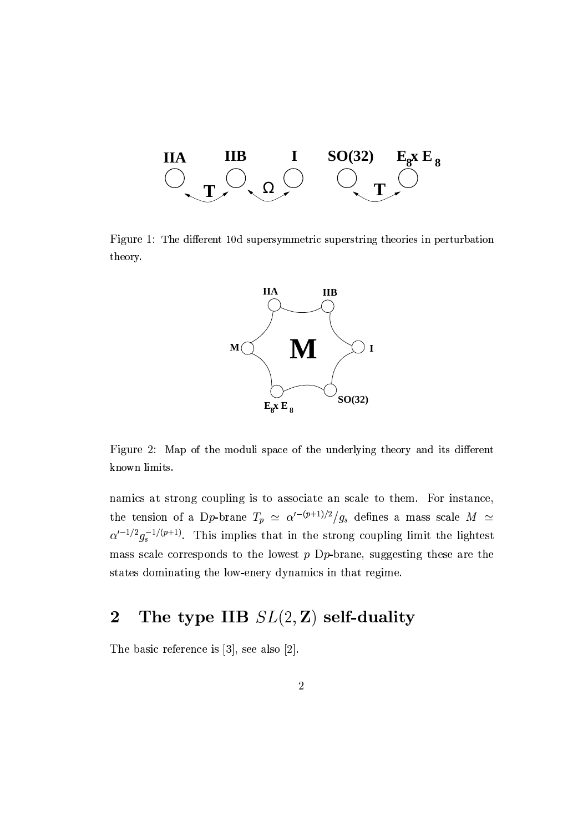

Figure 1: The different 10d supersymmetric superstring theories in perturbation theory.



Figure 2: Map of the moduli space of the underlying theory and its different known limits.

namics at strong coupling is to associate an scale to them. For instance, the tension of a Dp-brane  $T_p \simeq \alpha'^{-(p+1)/2}/g_s$  defines a mass scale  $M \simeq$  $\alpha'^{-1/2}g_s^{-1/(p+1)}$ . This implies that in the strong coupling limit the lightest mass scale corresponds to the lowest  $p$  D $p$ -brane, suggesting these are the states dominating the low-enery dynamics in that regime.

### The type IIB  $SL(2, \mathbb{Z})$  self-duality  $\overline{2}$

The basic reference is  $[3]$ , see also  $[2]$ .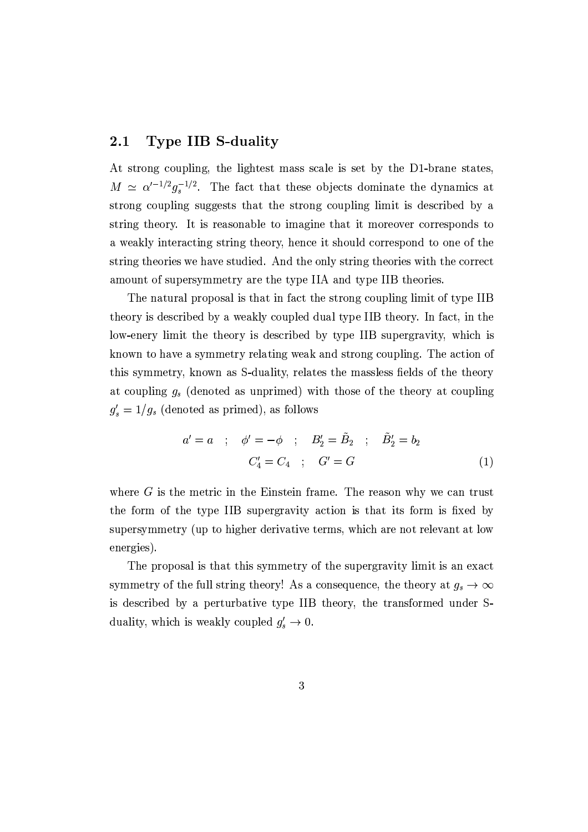### **Type IIB S-duality**  $2.1$

At strong coupling, the lightest mass scale is set by the D1-brane states,  $M \simeq \alpha'^{-1/2} g_s^{-1/2}$ . The fact that these objects dominate the dynamics at strong coupling suggests that the strong coupling limit is described by a string theory. It is reasonable to imagine that it moreover corresponds to a weakly interacting string theory, hence it should correspond to one of the string theories we have studied. And the only string theories with the correct amount of supersymmetry are the type IIA and type IIB theories.

The natural proposal is that in fact the strong coupling limit of type IIB theory is described by a weakly coupled dual type IIB theory. In fact, in the low-enery limit the theory is described by type IIB supergravity, which is known to have a symmetry relating weak and strong coupling. The action of this symmetry, known as S-duality, relates the massless fields of the theory at coupling  $g_s$  (denoted as unprimed) with those of the theory at coupling  $g'_s = 1/g_s$  (denoted as primed), as follows

$$
a' = a \quad ; \quad \phi' = -\phi \quad ; \quad B'_2 = \tilde{B}_2 \quad ; \quad \tilde{B}'_2 = b_2
$$
  

$$
C'_4 = C_4 \quad ; \quad G' = G \tag{1}
$$

where  $G$  is the metric in the Einstein frame. The reason why we can trust the form of the type IIB supergravity action is that its form is fixed by supersymmetry (up to higher derivative terms, which are not relevant at low energies).

The proposal is that this symmetry of the supergravity limit is an exact symmetry of the full string theory! As a consequence, the theory at  $g_s \to \infty$ is described by a perturbative type IIB theory, the transformed under Sduality, which is weakly coupled  $g'_s \to 0$ .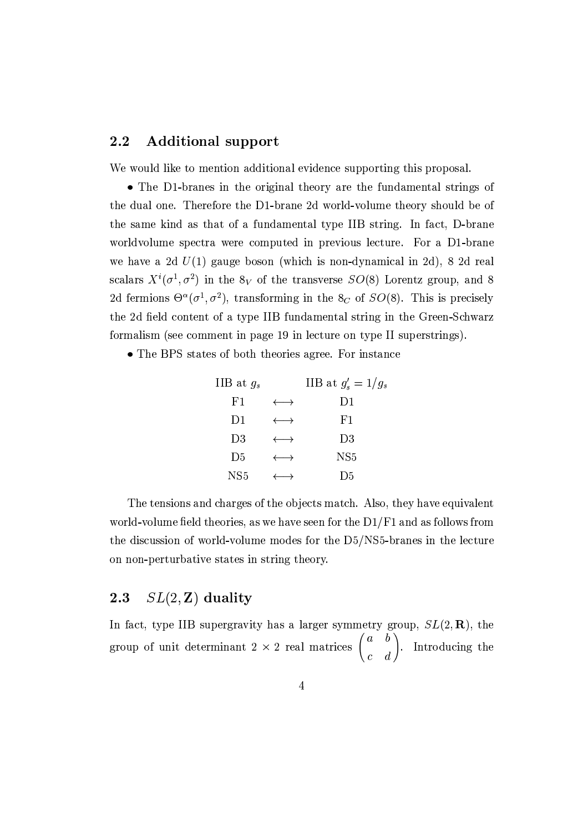#### $2.2$ **Additional support**

We would like to mention additional evidence supporting this proposal.

• The D1-branes in the original theory are the fundamental strings of the dual one. Therefore the D1-brane 2d world-volume theory should be of the same kind as that of a fundamental type IIB string. In fact, D-brane worldvolume spectra were computed in previous lecture. For a D1-brane we have a 2d  $U(1)$  gauge boson (which is non-dynamical in 2d), 8 2d real scalars  $X^i(\sigma^1, \sigma^2)$  in the  $8_V$  of the transverse  $SO(8)$  Lorentz group, and 8 2d fermions  $\Theta^{\alpha}(\sigma^1, \sigma^2)$ , transforming in the  $\delta_C$  of  $SO(8)$ . This is precisely the 2d field content of a type IIB fundamental string in the Green-Schwarz formalism (see comment in page 19 in lecture on type II superstrings).

• The BPS states of both theories agree. For instance

| IIB at $g_s$   |                       | IIB at $g'_s = 1/g_s$ |
|----------------|-----------------------|-----------------------|
| F1             | $\longleftrightarrow$ | D1                    |
| D1             | $\longleftrightarrow$ | F1                    |
| D3             | $\longleftrightarrow$ | D3                    |
| D <sub>5</sub> | $\longleftrightarrow$ | NS <sub>5</sub>       |
| NS5            |                       | D <sub>5</sub>        |

The tensions and charges of the objects match. Also, they have equivalent world-volume field theories, as we have seen for the  $D1/F1$  and as follows from the discussion of world-volume modes for the D5/NS5-branes in the lecture on non-perturbative states in string theory.

### $SL(2, \mathbb{Z})$  duality  $2.3\,$

In fact, type IIB supergravity has a larger symmetry group,  $SL(2,\mathbf{R})$ , the group of unit determinant  $2 \times 2$  real matrices  $\begin{pmatrix} a & b \\ c & d \end{pmatrix}$ . Introducing the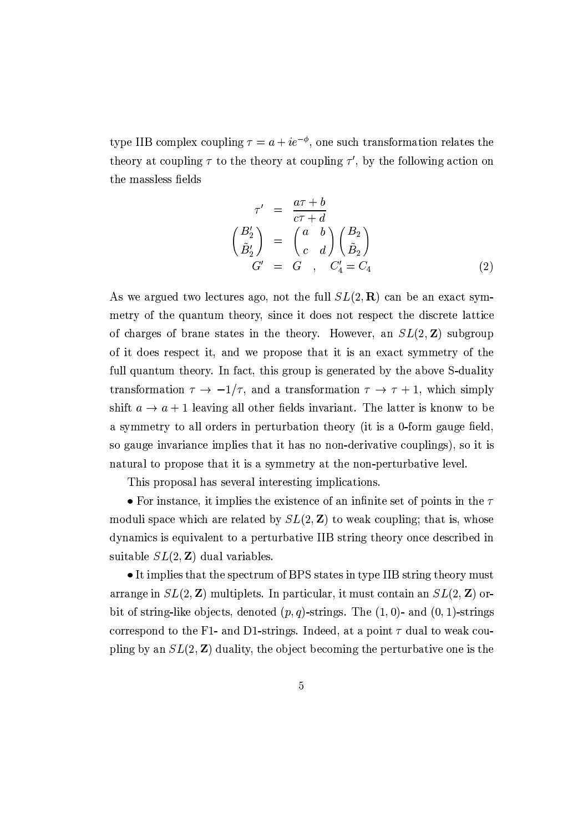type IIB complex coupling  $\tau = a + ie^{-\phi}$ , one such transformation relates the theory at coupling  $\tau$  to the theory at coupling  $\tau'$ , by the following action on the massless fields

$$
\tau' = \frac{a\tau + b}{c\tau + d}
$$
\n
$$
\begin{pmatrix} B_2' \\ \tilde{B}_2' \end{pmatrix} = \begin{pmatrix} a & b \\ c & d \end{pmatrix} \begin{pmatrix} B_2 \\ \tilde{B}_2 \end{pmatrix}
$$
\n
$$
G' = G, \quad C_4' = C_4
$$
\n(2)

As we argued two lectures ago, not the full  $SL(2,\mathbf{R})$  can be an exact symmetry of the quantum theory, since it does not respect the discrete lattice of charges of brane states in the theory. However, an  $SL(2, \mathbb{Z})$  subgroup of it does respect it, and we propose that it is an exact symmetry of the full quantum theory. In fact, this group is generated by the above S-duality transformation  $\tau \to -1/\tau$ , and a transformation  $\tau \to \tau + 1$ , which simply shift  $a \rightarrow a + 1$  leaving all other fields invariant. The latter is knonw to be a symmetry to all orders in perturbation theory (it is a 0-form gauge field, so gauge invariance implies that it has no non-derivative couplings), so it is natural to propose that it is a symmetry at the non-perturbative level.

This proposal has several interesting implications.

• For instance, it implies the existence of an infinite set of points in the  $\tau$ moduli space which are related by  $SL(2, \mathbb{Z})$  to weak coupling; that is, whose dynamics is equivalent to a perturbative IIB string theory once described in suitable  $SL(2, \mathbb{Z})$  dual variables.

• It implies that the spectrum of BPS states in type IIB string theory must arrange in  $SL(2, \mathbb{Z})$  multiplets. In particular, it must contain an  $SL(2, \mathbb{Z})$  orbit of string-like objects, denoted  $(p, q)$ -strings. The  $(1, 0)$ - and  $(0, 1)$ -strings correspond to the F1- and D1-strings. Indeed, at a point  $\tau$  dual to weak coupling by an  $SL(2, \mathbb{Z})$  duality, the object becoming the perturbative one is the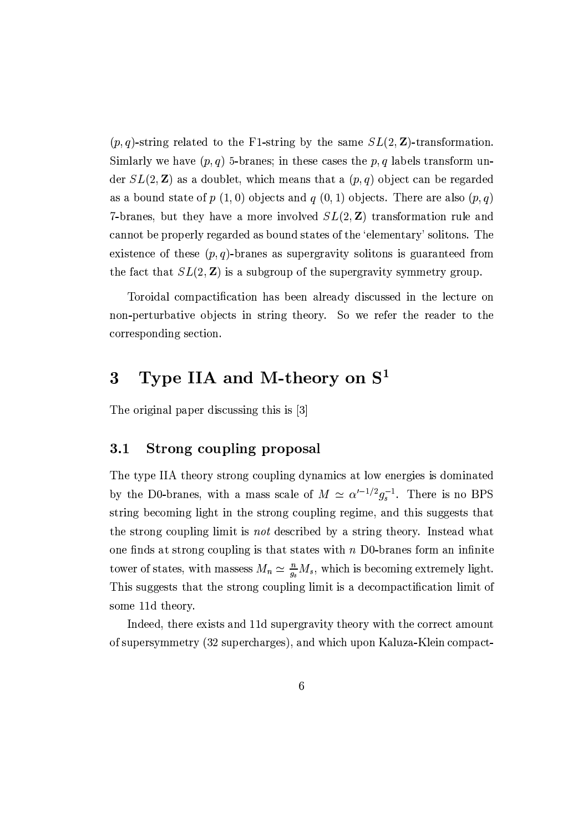$(p, q)$ -string related to the F1-string by the same  $SL(2, \mathbb{Z})$ -transformation. Similarly we have  $(p, q)$  5-branes; in these cases the p, q labels transform under  $SL(2, \mathbb{Z})$  as a doublet, which means that a  $(p, q)$  object can be regarded as a bound state of  $p(1,0)$  objects and  $q(0,1)$  objects. There are also  $(p,q)$ 7-branes, but they have a more involved  $SL(2, \mathbb{Z})$  transformation rule and cannot be properly regarded as bound states of the 'elementary' solitons. The existence of these  $(p, q)$ -branes as supergravity solitons is guaranteed from the fact that  $SL(2, \mathbb{Z})$  is a subgroup of the supergravity symmetry group.

Toroidal compactification has been already discussed in the lecture on non-perturbative objects in string theory. So we refer the reader to the corresponding section.

### Type IIA and M-theory on  $S<sup>1</sup>$  $\bf{3}$

The original paper discussing this is [3]

### $3.1$ Strong coupling proposal

The type IIA theory strong coupling dynamics at low energies is dominated by the D0-branes, with a mass scale of  $M \simeq \alpha'^{-1/2} g_s^{-1}$ . There is no BPS string becoming light in the strong coupling regime, and this suggests that the strong coupling limit is *not* described by a string theory. Instead what one finds at strong coupling is that states with  $n$  D0-branes form an infinite tower of states, with massess  $M_n \simeq \frac{n}{g_s} M_s$ , which is becoming extremely light. This suggests that the strong coupling limit is a decompactification limit of some 11d theory.

Indeed, there exists and 11d supergravity theory with the correct amount of supersymmetry (32 supercharges), and which upon Kaluza-Klein compact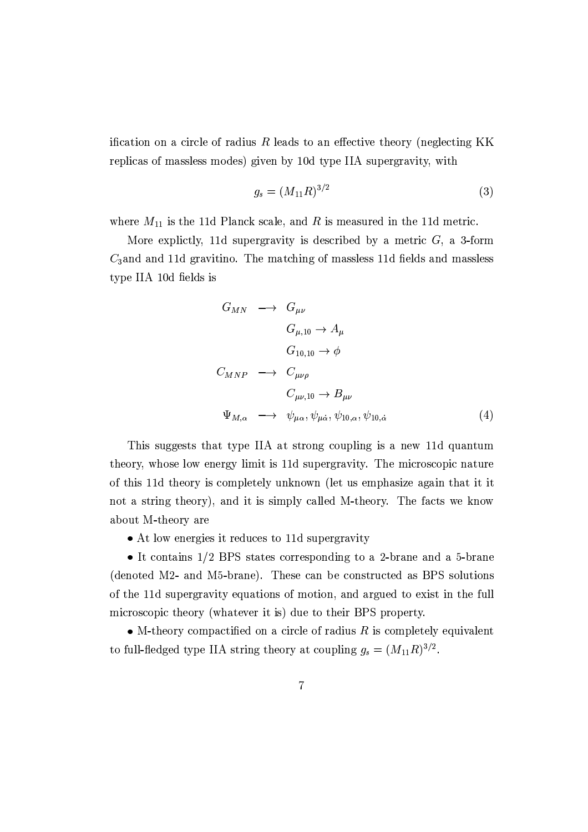ification on a circle of radius  $R$  leads to an effective theory (neglecting KK replicas of massless modes) given by 10d type IIA supergravity, with

$$
g_s = (M_{11}R)^{3/2} \tag{3}
$$

where  $M_{11}$  is the 11d Planck scale, and R is measured in the 11d metric.

More explictly, 11d supergravity is described by a metric  $G$ , a 3-form  $C_3$  and and 11d gravitino. The matching of massless 11d fields and massless type IIA 10d fields is

$$
G_{MN} \longrightarrow G_{\mu\nu}
$$
  
\n
$$
G_{\mu,10} \to A_{\mu}
$$
  
\n
$$
G_{10,10} \to \phi
$$
  
\n
$$
C_{MNP} \longrightarrow C_{\mu\nu\rho}
$$
  
\n
$$
C_{\mu\nu,10} \to B_{\mu\nu}
$$
  
\n
$$
\Psi_{M,\alpha} \longrightarrow \psi_{\mu\alpha}, \psi_{\mu\dot{\alpha}}, \psi_{10,\alpha}, \psi_{10,\dot{\alpha}}
$$
\n(4)

This suggests that type IIA at strong coupling is a new 11d quantum theory, whose low energy limit is 11d supergravity. The microscopic nature of this 11d theory is completely unknown (let us emphasize again that it it not a string theory), and it is simply called M-theory. The facts we know about M-theory are

• At low energies it reduces to 11d supergravity

• It contains  $1/2$  BPS states corresponding to a 2-brane and a 5-brane (denoted M2- and M5-brane). These can be constructed as BPS solutions of the 11d supergravity equations of motion, and argued to exist in the full microscopic theory (whatever it is) due to their BPS property.

• M-theory compactified on a circle of radius  $R$  is completely equivalent to full-fledged type IIA string theory at coupling  $g_s = (M_{11}R)^{3/2}$ .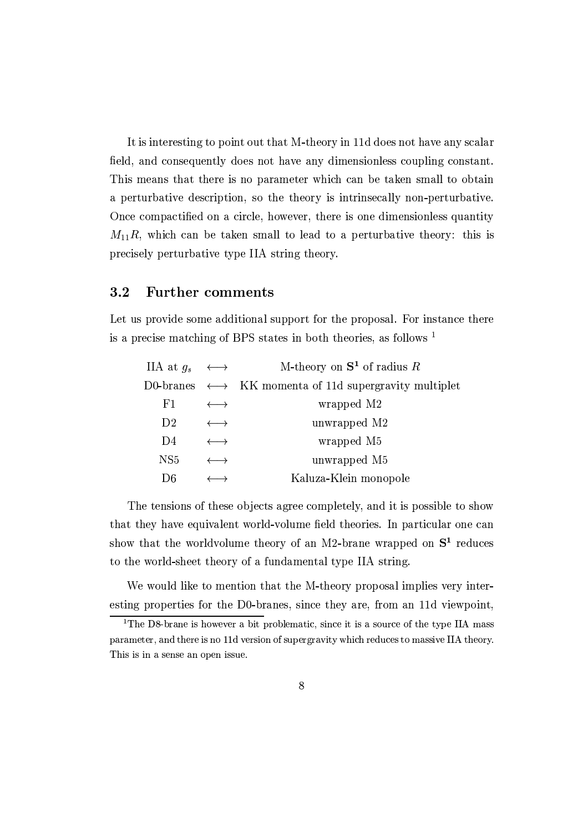It is interesting to point out that M-theory in 11d does not have any scalar field, and consequently does not have any dimensionless coupling constant. This means that there is no parameter which can be taken small to obtain a perturbative description, so the theory is intrinsecally non-perturbative. Once compactified on a circle, however, there is one dimensionless quantity  $M_{11}R$ , which can be taken small to lead to a perturbative theory: this is precisely perturbative type IIA string theory.

#### $3.2$ **Further comments**

Let us provide some additional support for the proposal. For instance there is a precise matching of BPS states in both theories, as follows  $1$ 

| IIA at $q_s \longleftrightarrow$ |                       | M-theory on $S^1$ of radius R                                            |
|----------------------------------|-----------------------|--------------------------------------------------------------------------|
|                                  |                       | D0-branes $\longleftrightarrow$ KK momenta of 11d supergravity multiplet |
| F1                               | $\longleftrightarrow$ | wrapped M2                                                               |
| D <sub>2</sub>                   | $\longleftrightarrow$ | unwrapped M2                                                             |
| D4                               | $\longleftrightarrow$ | wrapped M5                                                               |
| NS <sub>5</sub>                  |                       | unwrapped M5                                                             |
| D6                               |                       | Kaluza-Klein monopole                                                    |

The tensions of these objects agree completely, and it is possible to show that they have equivalent world-volume field theories. In particular one can show that the worldvolume theory of an M2-brane wrapped on  $S^1$  reduces to the world-sheet theory of a fundamental type IIA string.

We would like to mention that the M-theory proposal implies very interesting properties for the D0-branes, since they are, from an 11d viewpoint,

<sup>&</sup>lt;sup>1</sup>The D8-brane is however a bit problematic, since it is a source of the type IIA mass parameter, and there is no 11d version of supergravity which reduces to massive IIA theory. This is in a sense an open issue.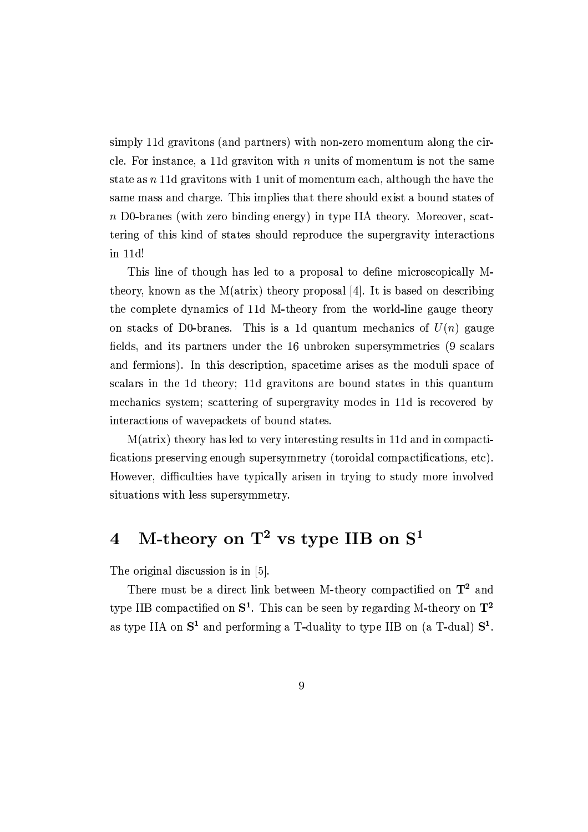simply 11d gravitons (and partners) with non-zero momentum along the circle. For instance, a 11d graviton with  $n$  units of momentum is not the same state as  $n$  11d gravitons with 1 unit of momentum each, although the have the same mass and charge. This implies that there should exist a bound states of n D0-branes (with zero binding energy) in type IIA theory. Moreover, scattering of this kind of states should reproduce the supergravity interactions in 11d!

This line of though has led to a proposal to define microscopically Mtheory, known as the M(atrix) theory proposal [4]. It is based on describing the complete dynamics of 11d M-theory from the world-line gauge theory on stacks of D0-branes. This is a 1d quantum mechanics of  $U(n)$  gauge fields, and its partners under the 16 unbroken supersymmetries (9 scalars and fermions). In this description, spacetime arises as the moduli space of scalars in the 1d theory; 11d gravitons are bound states in this quantum mechanics system; scattering of supergravity modes in 11d is recovered by interactions of wavepackets of bound states.

M(atrix) theory has led to very interesting results in 11d and in compactifications preserving enough supersymmetry (toroidal compactifications, etc). However, difficulties have typically arisen in trying to study more involved situations with less supersymmetry.

### M-theory on  $T^2$  vs type IIB on  $S^1$  $\overline{4}$

The original discussion is in [5].

There must be a direct link between M-theory compactified on  $T^2$  and type IIB compactified on  $S^1$ . This can be seen by regarding M-theory on  $T^2$ as type IIA on  $S^1$  and performing a T-duality to type IIB on (a T-dual)  $S^1$ .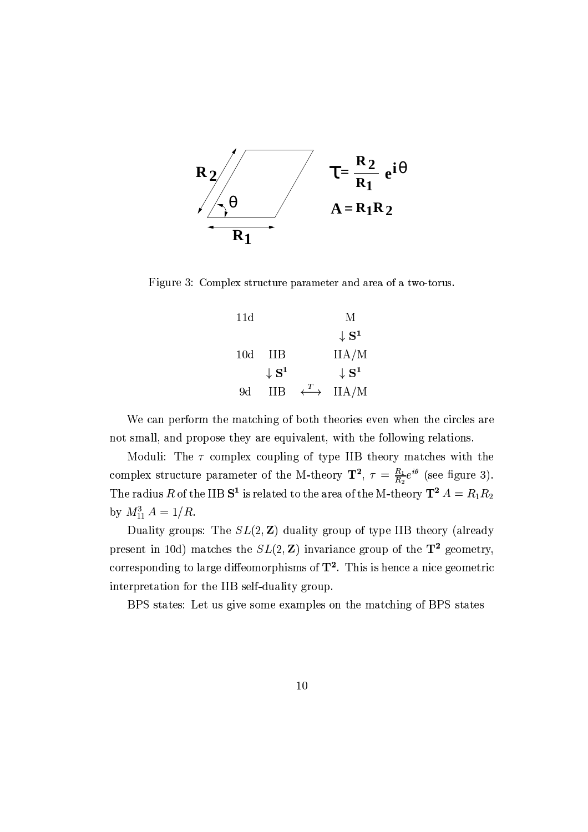

Figure 3: Complex structure parameter and area of a two-torus.

| 11d |                             |                                     | М                           |
|-----|-----------------------------|-------------------------------------|-----------------------------|
|     |                             |                                     | $\downarrow$ S <sup>1</sup> |
| 10d | ПB                          |                                     | IIA/M                       |
|     | $\downarrow$ S <sup>1</sup> |                                     | $\downarrow$ S <sup>1</sup> |
| 9d  | ĦВ                          | $\stackrel{T}{\longleftrightarrow}$ | IIA/M                       |

We can perform the matching of both theories even when the circles are not small, and propose they are equivalent, with the following relations.

Moduli: The  $\tau$  complex coupling of type IIB theory matches with the complex structure parameter of the M-theory  $\mathbf{T}^2$ ,  $\tau = \frac{R_1}{R_2}e^{i\theta}$  (see figure 3). The radius R of the IIB  $S^1$  is related to the area of the M-theory  $T^2 A = R_1 R_2$ by  $M_{11}^3 A = 1/R$ .

Duality groups: The  $SL(2, \mathbb{Z})$  duality group of type IIB theory (already present in 10d) matches the  $SL(2, \mathbb{Z})$  invariance group of the  $\mathbf{T}^2$  geometry, corresponding to large diffeomorphisms of  $\mathbf{T}^2$ . This is hence a nice geometric interpretation for the IIB self-duality group.

BPS states: Let us give some examples on the matching of BPS states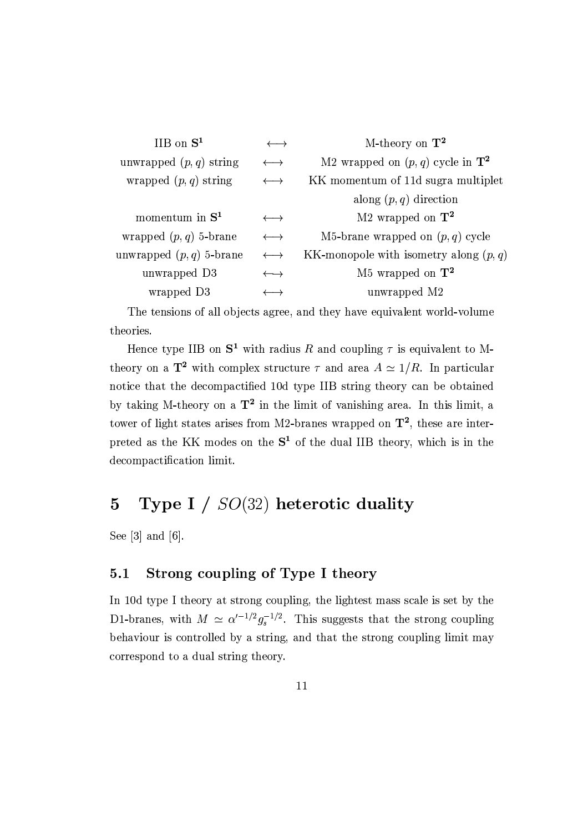|                       | M-theory on $T^2$                              |  |
|-----------------------|------------------------------------------------|--|
| $\longleftrightarrow$ | M2 wrapped on $(p, q)$ cycle in $\mathbf{T}^2$ |  |
|                       | KK momentum of 11d sugramultiplet              |  |
|                       | along $(p, q)$ direction                       |  |
| $\longleftrightarrow$ | M2 wrapped on $T^2$                            |  |
| $\longleftrightarrow$ | M5-brane wrapped on $(p, q)$ cycle             |  |
| $\longleftrightarrow$ | KK-monopole with isometry along $(p, q)$       |  |
| $\longleftrightarrow$ | M5 wrapped on $\mathbf{T}^2$                   |  |
|                       | unwrapped M2                                   |  |
|                       |                                                |  |

The tensions of all objects agree, and they have equivalent world-volume theories.

Hence type IIB on  $S^1$  with radius R and coupling  $\tau$  is equivalent to Mtheory on a  $\mathbf{T}^2$  with complex structure  $\tau$  and area  $A \simeq 1/R$ . In particular notice that the decompactified 10d type IIB string theory can be obtained by taking M-theory on a  $T^2$  in the limit of vanishing area. In this limit, a tower of light states arises from M2-branes wrapped on  $\mathbf{T}^2$ , these are interpreted as the KK modes on the  $S<sup>1</sup>$  of the dual IIB theory, which is in the decompactification limit.

### Type I  $/$   $SO(32)$  heterotic duality  $\overline{5}$

See  $[3]$  and  $[6]$ .

### Strong coupling of Type I theory  $5.1$

In 10d type I theory at strong coupling, the lightest mass scale is set by the D1-branes, with  $M \simeq \alpha'^{-1/2} g_s^{-1/2}$ . This suggests that the strong coupling behaviour is controlled by a string, and that the strong coupling limit may correspond to a dual string theory.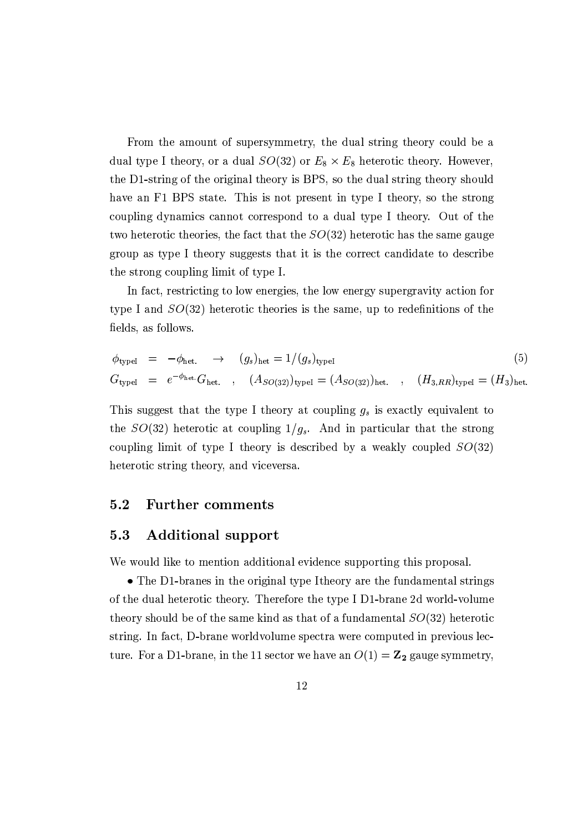From the amount of supersymmetry, the dual string theory could be a dual type I theory, or a dual  $SO(32)$  or  $E_8 \times E_8$  heterotic theory. However, the D1-string of the original theory is BPS, so the dual string theory should have an F1 BPS state. This is not present in type I theory, so the strong coupling dynamics cannot correspond to a dual type I theory. Out of the two heterotic theories, the fact that the  $SO(32)$  heterotic has the same gauge group as type I theory suggests that it is the correct candidate to describe the strong coupling limit of type I.

In fact, restricting to low energies, the low energy supergravity action for type I and  $SO(32)$  heterotic theories is the same, up to redefinitions of the fields, as follows.

$$
\phi_{\text{typeI}} = -\phi_{\text{het.}} \rightarrow (g_s)_{\text{het}} = 1/(g_s)_{\text{typeI}} \tag{5}
$$
\n
$$
G_{\text{typeI}} = e^{-\phi_{\text{het.}}} G_{\text{het.}}, \quad (A_{SO(32)})_{\text{typeI}} = (A_{SO(32)})_{\text{het.}}, \quad (H_{3,RR})_{\text{typeI}} = (H_3)_{\text{het.}} \tag{5}
$$

This suggest that the type I theory at coupling  $g_s$  is exactly equivalent to the  $SO(32)$  heterotic at coupling  $1/g_s$ . And in particular that the strong coupling limit of type I theory is described by a weakly coupled  $SO(32)$ heterotic string theory, and viceversa.

#### $5.2$ **Further comments**

#### $5.3$ **Additional support**

We would like to mention additional evidence supporting this proposal.

• The D1-branes in the original type Itheory are the fundamental strings of the dual heterotic theory. Therefore the type I D1-brane 2d world-volume theory should be of the same kind as that of a fundamental  $SO(32)$  heterotic string. In fact, D-brane worldvolume spectra were computed in previous lecture. For a D1-brane, in the 11 sector we have an  $O(1) = \mathbb{Z}_2$  gauge symmetry,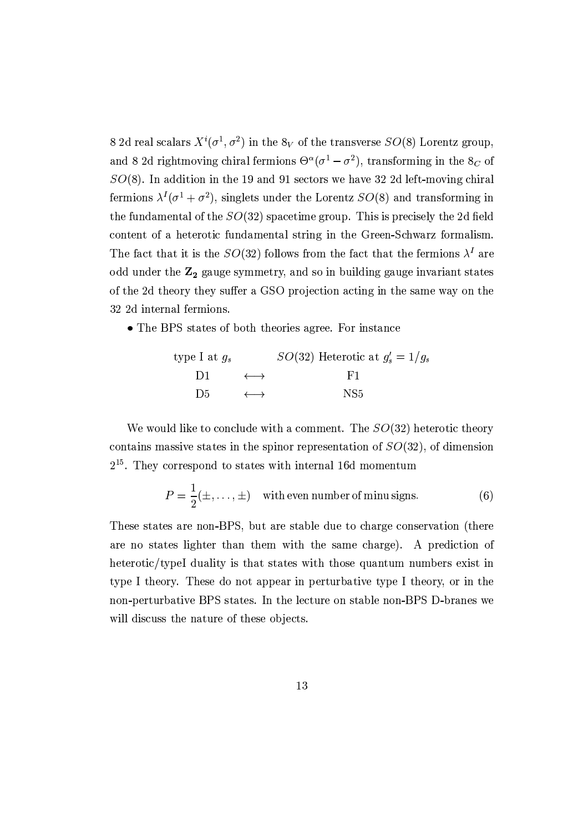8 2d real scalars  $X^{i}(\sigma^1, \sigma^2)$  in the  $8_V$  of the transverse  $SO(8)$  Lorentz group, and 8.2d rightmoving chiral fermions  $\Theta^{\alpha}(\sigma^1 - \sigma^2)$ , transforming in the  $8_C$  of  $SO(8)$ . In addition in the 19 and 91 sectors we have 32 2d left-moving chiral fermions  $\lambda^I(\sigma^1 + \sigma^2)$ , singlets under the Lorentz  $SO(8)$  and transforming in the fundamental of the  $SO(32)$  spacetime group. This is precisely the 2d field content of a heterotic fundamental string in the Green-Schwarz formalism. The fact that it is the  $SO(32)$  follows from the fact that the fermions  $\lambda^I$  are odd under the Z<sub>2</sub> gauge symmetry, and so in building gauge invariant states of the 2d theory they suffer a GSO projection acting in the same way on the 32 2d internal fermions.

• The BPS states of both theories agree. For instance

type I at 
$$
g_s
$$
  $SO(32)$  Heterotic at  $g'_s = 1/g_s$   
\nD1  $\longleftrightarrow$  F1  
\nD5  $\longleftrightarrow$  NS5

We would like to conclude with a comment. The  $SO(32)$  heterotic theory contains massive states in the spinor representation of  $SO(32)$ , of dimension  $2^{15}$ . They correspond to states with internal 16d momentum

$$
P = \frac{1}{2}(\pm, \dots, \pm)
$$
 with even number of minus signs. (6)

These states are non-BPS, but are stable due to charge conservation (there are no states lighter than them with the same charge). A prediction of heterotic/typeI duality is that states with those quantum numbers exist in type I theory. These do not appear in perturbative type I theory, or in the non-perturbative BPS states. In the lecture on stable non-BPS D-branes we will discuss the nature of these objects.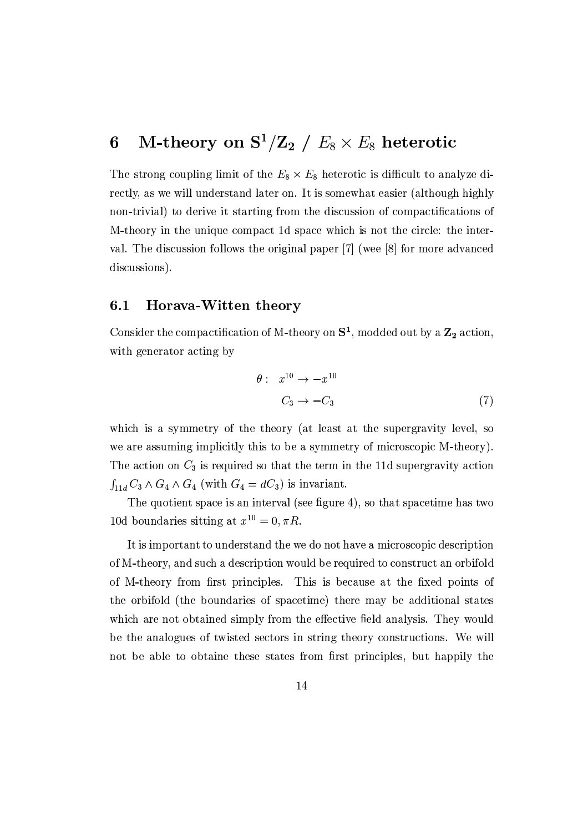### M-theory on  $S^1/Z_2$  /  $E_8 \times E_8$  heterotic 6

The strong coupling limit of the  $E_8 \times E_8$  heterotic is difficult to analyze directly, as we will understand later on. It is somewhat easier (although highly non-trivial) to derive it starting from the discussion of compactifications of M-theory in the unique compact 1d space which is not the circle: the interval. The discussion follows the original paper [7] (wee [8] for more advanced discussions).

#### $6.1$ Horava-Witten theory

Consider the compactification of M-theory on  $S^1$ , modded out by a  $\mathbb{Z}_2$  action, with generator acting by

$$
\theta: x^{10} \to -x^{10}
$$
  

$$
C_3 \to -C_3
$$
 (7)

which is a symmetry of the theory (at least at the supergravity level, so we are assuming implicitly this to be a symmetry of microscopic M-theory). The action on  $C_3$  is required so that the term in the 11d supergravity action  $\int_{11d} C_3 \wedge G_4 \wedge G_4$  (with  $G_4 = dC_3$ ) is invariant.

The quotient space is an interval (see figure 4), so that spacetime has two 10d boundaries sitting at  $x^{10} = 0, \pi R$ .

It is important to understand the we do not have a microscopic description of M-theory, and such a description would be required to construct an orbifold of M-theory from first principles. This is because at the fixed points of the orbifold (the boundaries of spacetime) there may be additional states which are not obtained simply from the effective field analysis. They would be the analogues of twisted sectors in string theory constructions. We will not be able to obtaine these states from first principles, but happily the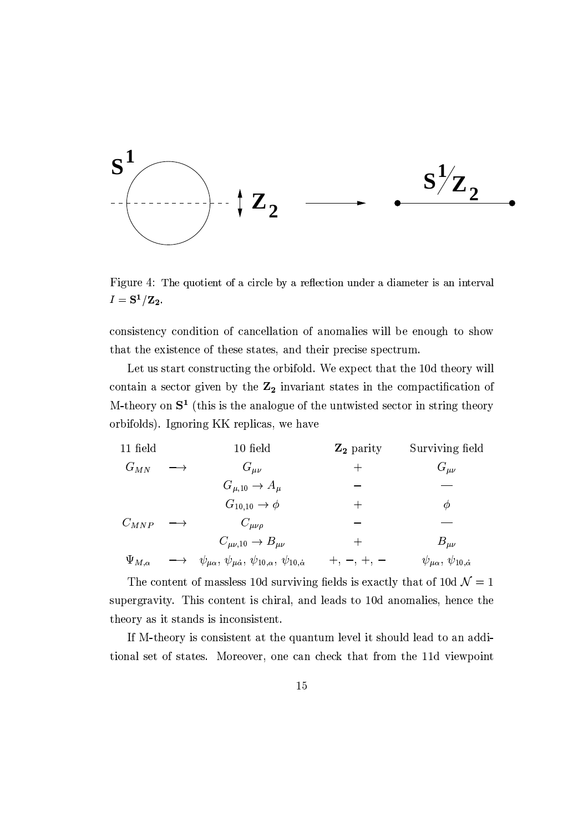

Figure 4: The quotient of a circle by a reflection under a diameter is an interval  $I = S^1/Z_2.$ 

consistency condition of cancellation of anomalies will be enough to show that the existence of these states, and their precise spectrum.

Let us start constructing the orbifold. We expect that the 10d theory will contain a sector given by the  $Z_2$  invariant states in the compactification of M-theory on  $S^1$  (this is the analogue of the untwisted sector in string theory orbifolds). Ignoring KK replicas, we have

| 11 field          | 10 field                                                                             | $\mathbf{Z}_2$ parity | Surviving field                            |
|-------------------|--------------------------------------------------------------------------------------|-----------------------|--------------------------------------------|
| $G_{MN}$          | $G_{\mu\nu}$                                                                         |                       | $G_{\mu\nu}$                               |
|                   | $G_{\mu,10} \rightarrow A_{\mu}$                                                     |                       |                                            |
|                   | $G_{10,10} \rightarrow \phi$                                                         |                       | Ø                                          |
| $C_{MNP}$         | $C_{\mu\nu\rho}$                                                                     |                       |                                            |
|                   | $C_{\mu\nu,10} \rightarrow B_{\mu\nu}$                                               |                       | $B_{\mu\nu}$                               |
| $\Psi_{M,\alpha}$ | $\psi_{\mu\alpha}, \psi_{\mu\dot{\alpha}}, \psi_{10,\alpha}, \psi_{10,\dot{\alpha}}$ |                       | $\psi_{\mu\alpha}, \psi_{10,\dot{\alpha}}$ |

The content of massless 10d surviving fields is exactly that of 10d  $\mathcal{N}=1$ supergravity. This content is chiral, and leads to 10d anomalies, hence the theory as it stands is inconsistent.

If M-theory is consistent at the quantum level it should lead to an additional set of states. Moreover, one can check that from the 11d viewpoint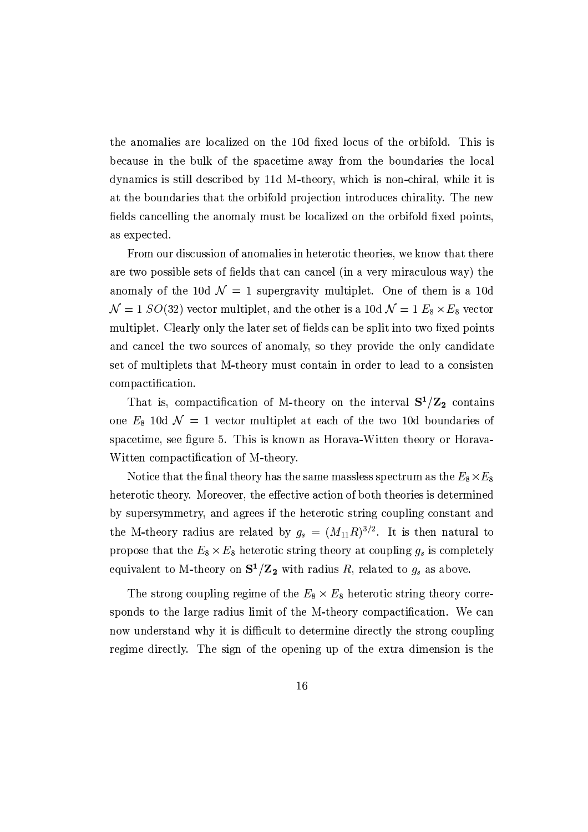the anomalies are localized on the 10d fixed locus of the orbifold. This is because in the bulk of the spacetime away from the boundaries the local dynamics is still described by 11d M-theory, which is non-chiral, while it is at the boundaries that the orbifold projection introduces chirality. The new fields cancelling the anomaly must be localized on the orbifold fixed points, as expected.

From our discussion of anomalies in heterotic theories, we know that there are two possible sets of fields that can cancel (in a very miraculous way) the anomaly of the 10d  $\mathcal{N}=1$  supergravity multiplet. One of them is a 10d  $\mathcal{N}=1$  SO(32) vector multiplet, and the other is a 10d  $\mathcal{N}=1$   $E_8\times E_8$  vector multiplet. Clearly only the later set of fields can be split into two fixed points and cancel the two sources of anomaly, so they provide the only candidate set of multiplets that M-theory must contain in order to lead to a consisten compactification.

That is, compactification of M-theory on the interval  $S^1/Z_2$  contains one  $E_8$  10d  $\mathcal{N}=1$  vector multiplet at each of the two 10d boundaries of spacetime, see figure 5. This is known as Horava-Witten theory or Horava-Witten compactification of M-theory.

Notice that the final theory has the same massless spectrum as the  $E_8\times E_8$ heterotic theory. Moreover, the effective action of both theories is determined by supersymmetry, and agrees if the heterotic string coupling constant and the M-theory radius are related by  $g_s = (M_{11}R)^{3/2}$ . It is then natural to propose that the  $E_8 \times E_8$  heterotic string theory at coupling  $g_s$  is completely equivalent to M-theory on  $S^1/Z_2$  with radius R, related to  $g_s$  as above.

The strong coupling regime of the  $E_8 \times E_8$  heterotic string theory corresponds to the large radius limit of the M-theory compactification. We can now understand why it is difficult to determine directly the strong coupling regime directly. The sign of the opening up of the extra dimension is the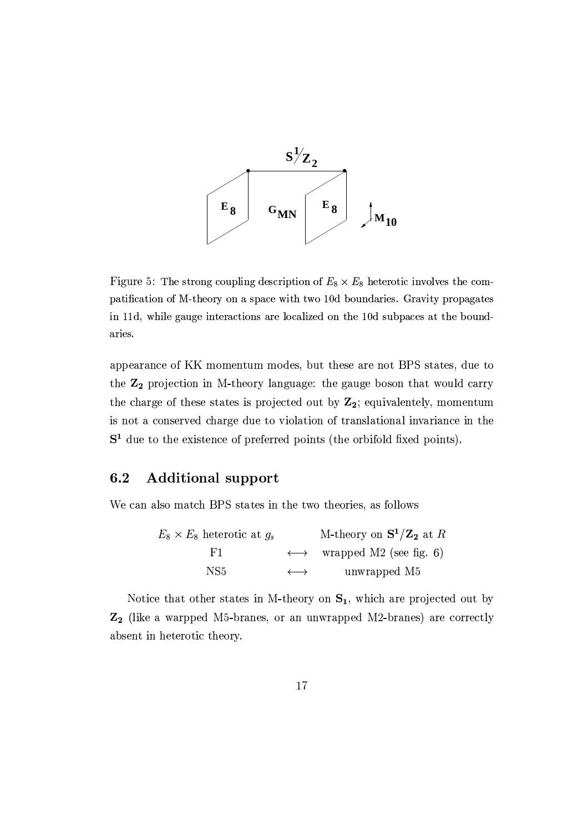

Figure 5: The strong coupling description of  $E_8 \times E_8$  heterotic involves the compatification of M-theory on a space with two 10d boundaries. Gravity propagates in 11d, while gauge interactions are localized on the 10d subpaces at the boundaries.

appearance of KK momentum modes, but these are not BPS states, due to the Z<sub>2</sub> projection in M-theory language: the gauge boson that would carry the charge of these states is projected out by  $Z_2$ ; equivalentely, momentum is not a conserved charge due to violation of translational invariance in the  $S<sup>1</sup>$  due to the existence of preferred points (the orbifold fixed points).

#### $6.2$ **Additional support**

We can also match BPS states in the two theories, as follows

 $E_8 \times E_8$  heterotic at  $g_s$  M-theory on  $S^1/\mathbb{Z}_2$  at R  $\longleftrightarrow$  wrapped M2 (see fig. 6)  $F1$ NS<sub>5</sub>  $\longleftrightarrow$ unwrapped M5

Notice that other states in M-theory on  $S_1$ , which are projected out by Z<sub>2</sub> (like a warpped M5-branes, or an unwrapped M2-branes) are correctly absent in heterotic theory.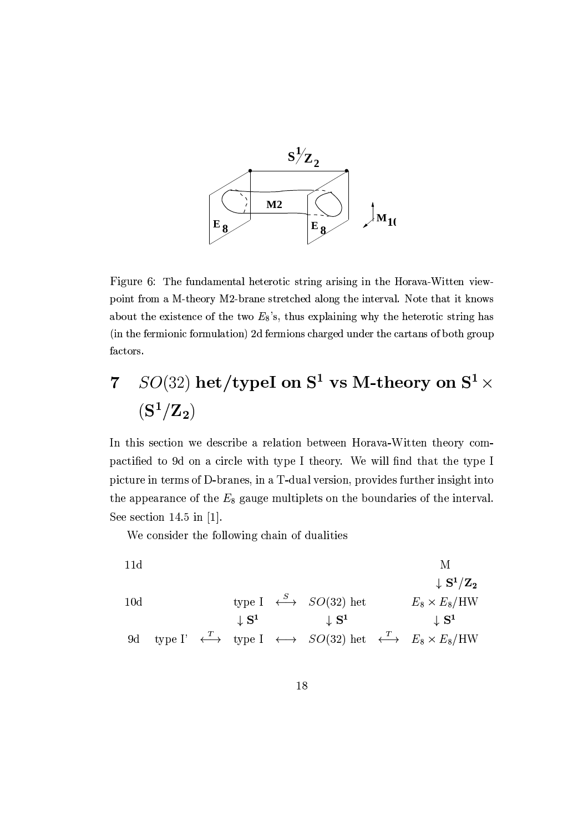

Figure 6: The fundamental heterotic string arising in the Horava-Witten viewpoint from a M-theory M2-brane stretched along the interval. Note that it knows about the existence of the two  $E_8$ 's, thus explaining why the heterotic string has (in the fermionic formulation) 2d fermions charged under the cartans of both group factors.

## $SO(32)$  het/typeI on  $S^1$  vs M-theory on  $S^1 \times$  $\overline{7}$  $({\bf S}^1/{\bf Z}_2)$

In this section we describe a relation between Horava-Witten theory compactified to 9d on a circle with type I theory. We will find that the type I picture in terms of D-branes, in a T-dual version, provides further insight into the appearance of the  $E_8$  gauge multiplets on the boundaries of the interval. See section 14.5 in  $[1]$ .

We consider the following chain of dualities

11d  
\n
$$
\begin{array}{cccc}\n & \text{M} & \text{M} \\
\downarrow \text{S}^1/\text{Z}_2 & & \\
10\text{d} & \text{type I} & \stackrel{S}{\longleftrightarrow} & SO(32) \text{ het} & E_8 \times E_8 / \text{HW} \\
& \downarrow \text{S}^1 & \downarrow \text{S}^1 & \downarrow \text{S}^1 \\
9\text{d type I'} & \stackrel{T}{\longleftrightarrow} & \text{type I} & \stackrel{\frown}{\longleftrightarrow} & SO(32) \text{ het} & \stackrel{T}{\longleftrightarrow} & E_8 \times E_8 / \text{HW}\n\end{array}
$$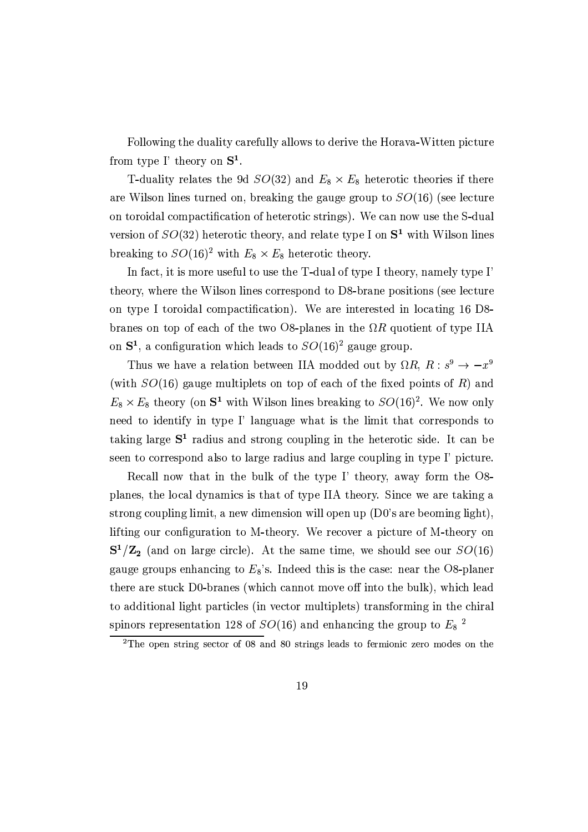Following the duality carefully allows to derive the Horava-Witten picture from type I' theory on  $S^1$ .

T-duality relates the 9d  $SO(32)$  and  $E_8 \times E_8$  heterotic theories if there are Wilson lines turned on, breaking the gauge group to  $SO(16)$  (see lecture on toroidal compactification of heterotic strings). We can now use the S-dual version of  $SO(32)$  heterotic theory, and relate type I on  $S^1$  with Wilson lines breaking to  $SO(16)^2$  with  $E_8 \times E_8$  heterotic theory.

In fact, it is more useful to use the T-dual of type I theory, namely type I' theory, where the Wilson lines correspond to D8-brane positions (see lecture on type I toroidal compactification). We are interested in locating 16 D8branes on top of each of the two O8-planes in the  $\Omega R$  quotient of type IIA on  $S^1$ , a configuration which leads to  $SO(16)^2$  gauge group.

Thus we have a relation between IIA modded out by  $\Omega R$ ,  $R: s^9 \rightarrow -x^9$ (with  $SO(16)$  gauge multiplets on top of each of the fixed points of R) and  $E_8 \times E_8$  theory (on  $S^1$  with Wilson lines breaking to  $SO(16)^2$ . We now only need to identify in type I' language what is the limit that corresponds to taking large  $S<sup>1</sup>$  radius and strong coupling in the heterotic side. It can be seen to correspond also to large radius and large coupling in type I' picture.

Recall now that in the bulk of the type I' theory, away form the O8planes, the local dynamics is that of type IIA theory. Since we are taking a strong coupling limit, a new dimension will open up (D0's are beoming light). lifting our configuration to M-theory. We recover a picture of M-theory on  $S^1/Z_2$  (and on large circle). At the same time, we should see our  $SO(16)$ gauge groups enhancing to  $E_8$ 's. Indeed this is the case: near the O8-planer there are stuck D0-branes (which cannot move off into the bulk), which lead to additional light particles (in vector multiplets) transforming in the chiral spinors representation 128 of  $SO(16)$  and enhancing the group to  $E_8$ <sup>2</sup>

 $2$ The open string sector of 08 and 80 strings leads to fermionic zero modes on the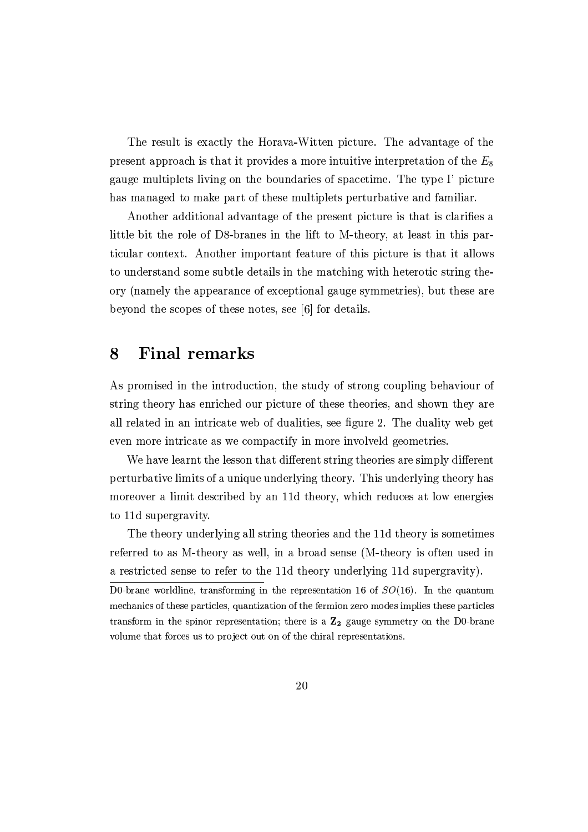The result is exactly the Horava-Witten picture. The advantage of the present approach is that it provides a more intuitive interpretation of the  $E_8$ gauge multiplets living on the boundaries of spacetime. The type I' picture has managed to make part of these multiplets perturbative and familiar.

Another additional advantage of the present picture is that is clarifies a little bit the role of D8-branes in the lift to M-theory, at least in this particular context. Another important feature of this picture is that it allows to understand some subtle details in the matching with heterotic string theory (namely the appearance of exceptional gauge symmetries), but these are beyond the scopes of these notes, see [6] for details.

### 8 **Final remarks**

As promised in the introduction, the study of strong coupling behaviour of string theory has enriched our picture of these theories, and shown they are all related in an intricate web of dualities, see figure 2. The duality web get even more intricate as we compactify in more involveld geometries.

We have learnt the lesson that different string theories are simply different perturbative limits of a unique underlying theory. This underlying theory has moreover a limit described by an 11d theory, which reduces at low energies to 11d supergravity.

The theory underlying all string theories and the 11d theory is sometimes referred to as M-theory as well, in a broad sense (M-theory is often used in a restricted sense to refer to the 11d theory underlying 11d supergravity).

D0-brane worldline, transforming in the representation 16 of  $SO(16)$ . In the quantum mechanics of these particles, quantization of the fermion zero modes implies these particles transform in the spinor representation; there is a  $\mathbb{Z}_2$  gauge symmetry on the D0-brane volume that forces us to project out on of the chiral representations.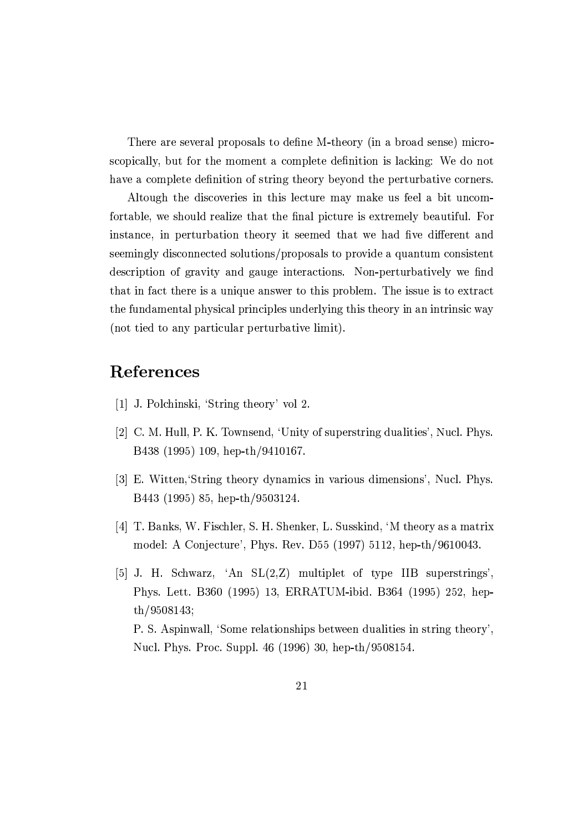There are several proposals to define M-theory (in a broad sense) microscopically, but for the moment a complete definition is lacking: We do not have a complete definition of string theory beyond the perturbative corners.

Altough the discoveries in this lecture may make us feel a bit uncomfortable, we should realize that the final picture is extremely beautiful. For instance, in perturbation theory it seemed that we had five different and seemingly disconnected solutions/proposals to provide a quantum consistent description of gravity and gauge interactions. Non-perturbatively we find that in fact there is a unique answer to this problem. The issue is to extract the fundamental physical principles underlying this theory in an intrinsic way (not tied to any particular perturbative limit).

# References

- [1] J. Polchinski, 'String theory' vol 2.
- [2] C. M. Hull, P. K. Townsend, 'Unity of superstring dualities', Nucl. Phys. B438 (1995) 109, hep-th/9410167.
- [3] E. Witten, String theory dynamics in various dimensions', Nucl. Phys. B443 (1995) 85, hep-th/9503124.
- [4] T. Banks, W. Fischler, S. H. Shenker, L. Susskind, 'M theory as a matrix model: A Conjecture', Phys. Rev. D55 (1997) 5112, hep-th/9610043.
- [5] J. H. Schwarz, 'An  $SL(2,Z)$  multiplet of type IIB superstrings', Phys. Lett. B360 (1995) 13, ERRATUM-ibid. B364 (1995) 252, hepth/9508143; P. S. Aspinwall, 'Some relationships between dualities in string theory'. Nucl. Phys. Proc. Suppl. 46 (1996) 30, hep-th/9508154.